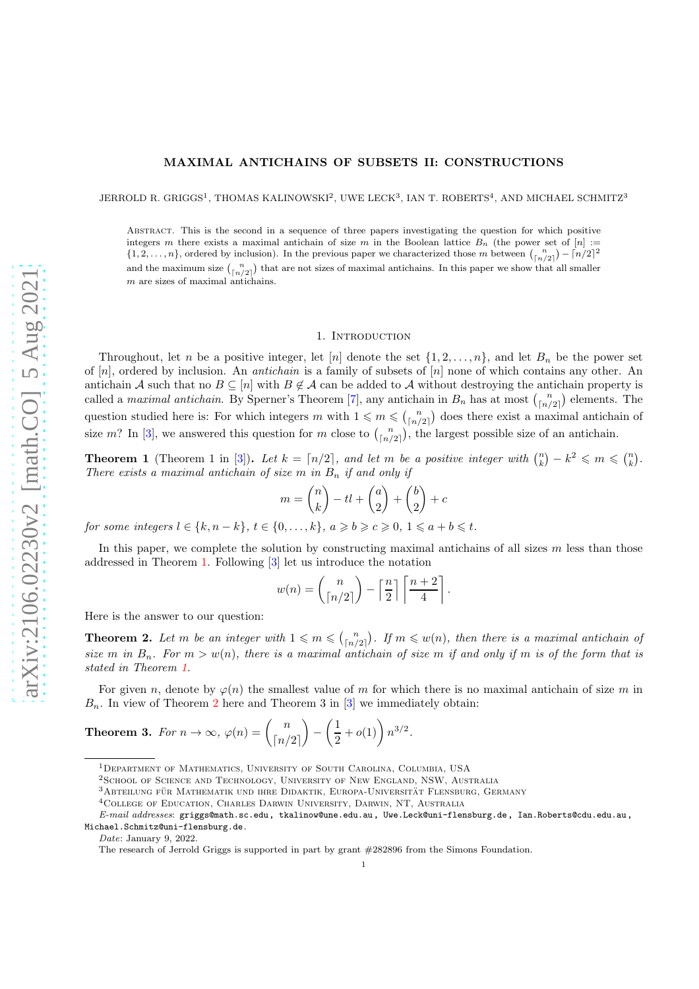# MAXIMAL ANTICHAINS OF SUBSETS II: CONSTRUCTIONS

JERROLD R. GRIGGS<sup>1</sup>, THOMAS KALINOWSKI<sup>2</sup>, UWE LECK<sup>3</sup>, IAN T. ROBERTS<sup>4</sup>, AND MICHAEL SCHMITZ<sup>3</sup>

Abstract. This is the second in a sequence of three papers investigating the question for which positive integers m there exists a maximal antichain of size m in the Boolean lattice  $B_n$  (the power set of  $[n] :=$  $\{1, 2, \ldots, n\}$ , ordered by inclusion). In the previous paper we characterized those m between  $\binom{n}{\lceil n/2 \rceil} - \lceil n/2 \rceil^2$ and the maximum size  $\binom{n}{\lfloor n/2 \rfloor}$  that are not sizes of maximal antichains. In this paper we show that all smaller  $m$  are sizes of maximal antichains.

### 1. INTRODUCTION

<span id="page-0-2"></span>Throughout, let n be a positive integer, let [n] denote the set  $\{1, 2, \ldots, n\}$ , and let  $B_n$  be the power set of  $[n]$ , ordered by inclusion. An *antichain* is a family of subsets of  $[n]$  none of which contains any other. An antichain A such that no  $B \subseteq [n]$  with  $B \notin \mathcal{A}$  can be added to A without destroying the antichain property is called a *maximal antichain*. By Sperner's Theorem [\[7](#page-9-0)], any antichain in  $B_n$  has at most  $\binom{n}{\lfloor n/2 \rfloor}$  elements. The question studied here is: For which integers m with  $1 \leq m \leq {n \choose \lceil n/2 \rceil}$  does there exist a maximal antichain of size m? In [\[3](#page-9-1)], we answered this question for m close to  $\binom{n}{\lfloor n/2 \rfloor}$ , the largest possible size of an antichain.

<span id="page-0-0"></span>**Theorem 1** (Theorem 1 in [\[3\]](#page-9-1)). Let  $k = \lceil n/2 \rceil$ , and let m be a positive integer with  $\binom{n}{k} - k^2 \leq m \leq \binom{n}{k}$ . There exists a maximal antichain of size m in  $B_n$  if and only if

$$
m = \binom{n}{k} - tl + \binom{a}{2} + \binom{b}{2} + c
$$

for some integers  $l \in \{k, n-k\}, t \in \{0, \ldots, k\}, a \geq b \geq c \geq 0, 1 \leq a+b \leq t.$ 

In this paper, we complete the solution by constructing maximal antichains of all sizes  $m$  less than those addressed in Theorem [1.](#page-0-0) Following [\[3\]](#page-9-1) let us introduce the notation

$$
w(n) = \binom{n}{\lceil n/2 \rceil} - \left\lceil \frac{n}{2} \right\rceil \left\lceil \frac{n+2}{4} \right\rceil.
$$

<span id="page-0-1"></span>Here is the answer to our question:

**Theorem 2.** Let m be an integer with  $1 \leq m \leq {n \choose \lceil n/2 \rceil}$ . If  $m \leq w(n)$ , then there is a maximal antichain of size m in  $B_n$ . For  $m > w(n)$ , there is a maximal antichain of size m if and only if m is of the form that is stated in Theorem [1.](#page-0-0)

For given n, denote by  $\varphi(n)$  the smallest value of m for which there is no maximal antichain of size m in  $B_n$ . In view of Theorem [2](#page-0-1) here and Theorem 3 in [\[3](#page-9-1)] we immediately obtain:

**Theorem 3.** For  $n \to \infty$ ,  $\varphi(n) = \begin{pmatrix} n \\ \lfloor n \rfloor \end{pmatrix}$  $\lceil n/2 \rceil$  $\setminus$ −  $\sqrt{1}$  $\frac{1}{2} + o(1) \bigg) n^{3/2}.$ 

 $3A$ Bteilung für Mathematik und ihre Didaktik, Europa-Universität Flensburg, Germany

Date: January 9, 2022.

<sup>1</sup>Department of Mathematics, University of South Carolina, Columbia, USA

<sup>2</sup>School of Science and Technology, University of New England, NSW, Australia

<sup>4</sup>College of Education, Charles Darwin University, Darwin, NT, Australia

E-mail addresses: griggs@math.sc.edu, tkalinow@une.edu.au, Uwe.Leck@uni-flensburg.de, Ian.Roberts@cdu.edu.au, Michael.Schmitz@uni-flensburg.de.

The research of Jerrold Griggs is supported in part by grant #282896 from the Simons Foundation.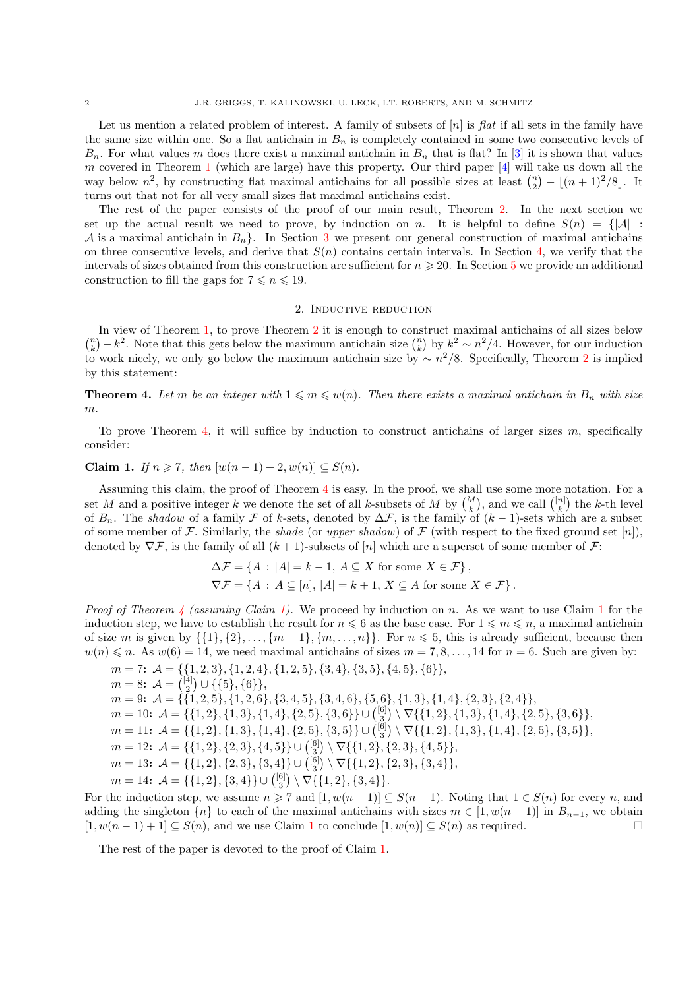Let us mention a related problem of interest. A family of subsets of  $[n]$  is flat if all sets in the family have the same size within one. So a flat antichain in  $B_n$  is completely contained in some two consecutive levels of  $B_n$ . For what values m does there exist a maximal antichain in  $B_n$  that is flat? In [\[3](#page-9-1)] it is shown that values m covered in Theorem [1](#page-0-0) (which are large) have this property. Our third paper [\[4\]](#page-9-2) will take us down all the way below  $n^2$ , by constructing flat maximal antichains for all possible sizes at least  $\binom{n}{2} - \lfloor (n+1)^2/8 \rfloor$ . It turns out that not for all very small sizes flat maximal antichains exist.

The rest of the paper consists of the proof of our main result, Theorem [2.](#page-0-1) In the next section we set up the actual result we need to prove, by induction on n. It is helpful to define  $S(n) = \{|\mathcal{A}| :$ A is a maximal antichain in  $B_n$ . In Section [3](#page-2-0) we present our general construction of maximal antichains on three consecutive levels, and derive that  $S(n)$  contains certain intervals. In Section [4,](#page-5-0) we verify that the intervals of sizes obtained from this construction are sufficient for  $n \geq 20$ . In Section [5](#page-6-0) we provide an additional construction to fill the gaps for  $7 \le n \le 19$ .

#### 2. Inductive reduction

In view of Theorem [1,](#page-0-0) to prove Theorem [2](#page-0-1) it is enough to construct maximal antichains of all sizes below  $\binom{n}{k} - k^2$ . Note that this gets below the maximum antichain size  $\binom{n}{k}$  by  $k^2 \sim n^2/4$ . However, for our induction to work nicely, we only go below the maximum antichain size by  $\sim n^2/8$  $\sim n^2/8$  $\sim n^2/8$ . Specifically, Theorem 2 is implied by this statement:

<span id="page-1-0"></span>**Theorem 4.** Let m be an integer with  $1 \leq m \leq w(n)$ . Then there exists a maximal antichain in  $B_n$  with size m.

<span id="page-1-1"></span>To prove Theorem [4,](#page-1-0) it will suffice by induction to construct antichains of larger sizes  $m$ , specifically consider:

Claim 1. If  $n \geq 7$ , then  $[w(n-1)+2, w(n)] \subseteq S(n)$ .

Assuming this claim, the proof of Theorem [4](#page-1-0) is easy. In the proof, we shall use some more notation. For a set M and a positive integer k we denote the set of all k-subsets of M by  $\binom{M}{k}$ , and we call  $\binom{[n]}{k}$  the k-th level of  $B_n$ . The shadow of a family  $\mathcal F$  of k-sets, denoted by  $\Delta \mathcal F$ , is the family of  $(k-1)$ -sets which are a subset of some member of F. Similarly, the shade (or upper shadow) of F (with respect to the fixed ground set [n]), denoted by  $\nabla \mathcal{F}$ , is the family of all  $(k+1)$ -subsets of  $[n]$  which are a superset of some member of  $\mathcal{F}$ :

$$
\Delta \mathcal{F} = \{ A : |A| = k - 1, A \subseteq X \text{ for some } X \in \mathcal{F} \},
$$
  

$$
\nabla \mathcal{F} = \{ A : A \subseteq [n], |A| = k + 1, X \subseteq A \text{ for some } X \in \mathcal{F} \}.
$$

*Proof of Theorem [4](#page-1-0) (assuming Claim [1\)](#page-1-1).* We proceed by induction on n. As we want to use Claim [1](#page-1-1) for the induction step, we have to establish the result for  $n \leq 6$  as the base case. For  $1 \leq m \leq n$ , a maximal antichain of size m is given by  $\{\{1\},\{2\},\ldots,\{m-1\},\{m,\ldots,n\}\}\$ . For  $n \leq 5$ , this is already sufficient, because then  $w(n) \leq n$ . As  $w(6) = 14$ , we need maximal antichains of sizes  $m = 7, 8, \ldots, 14$  for  $n = 6$ . Such are given by:

 $m = 7: A = \{\{1, 2, 3\}, \{1, 2, 4\}, \{1, 2, 5\}, \{3, 4\}, \{3, 5\}, \{4, 5\}, \{6\}\},\$  $m=8: \ \mathcal{A}={[4] \choose 2} \cup \{\{5\},\{6\}\},$  $m = 9: A = \{\{1, 2, 5\}, \{1, 2, 6\}, \{3, 4, 5\}, \{3, 4, 6\}, \{5, 6\}, \{1, 3\}, \{1, 4\}, \{2, 3\}, \{2, 4\}\},\$  $m = 10$ :  $\mathcal{A} = \{\{1, 2\}, \{1, 3\}, \{1, 4\}, \{2, 5\}, \{3, 6\}\} \cup \binom{[6]}{3} \setminus \nabla\{\{1, 2\}, \{1, 3\}, \{1, 4\}, \{2, 5\}, \{3, 6\}\},$  $m = 11: A = \{\{1, 2\}, \{1, 3\}, \{1, 4\}, \{2, 5\}, \{3, 5\}\} \cup {6 \choose 3} \setminus \nabla\{\{1, 2\}, \{1, 3\}, \{1, 4\}, \{2, 5\}, \{3, 5\}\},$  $m = 12$ :  $\mathcal{A} = \{\{1, 2\}, \{2, 3\}, \{4, 5\}\} \cup \binom{[6]}{3} \setminus \nabla \{\{1, 2\}, \{2, 3\}, \{4, 5\}\},$  $m = 13: \mathcal{A} = \{\{1, 2\}, \{2, 3\}, \{3, 4\}\} \cup {\binom{[6]}{3}} \setminus \nabla \{\{1, 2\}, \{2, 3\}, \{3, 4\}\},\$  $m = 14$ :  $\mathcal{A} = \{\{1, 2\}, \{3, 4\}\} \cup \binom{[6]}{3} \setminus \nabla \{\{1, 2\}, \{3, 4\}\}.$ 

For the induction step, we assume  $n \ge 7$  and  $[1, w(n-1)] \subseteq S(n-1)$ . Noting that  $1 \in S(n)$  for every n, and adding the singleton  $\{n\}$  to each of the maximal antichains with sizes  $m \in [1, w(n-1)]$  in  $B_{n-1}$ , we obtain  $[1, w(n-1)+1] \subset S(n)$ , and we use Claim 1 to conclude  $[1, w(n)] \subset S(n)$  as required.  $[1, w(n-1)+1] \subseteq S(n)$  $[1, w(n-1)+1] \subseteq S(n)$  $[1, w(n-1)+1] \subseteq S(n)$ , and we use Claim 1 to conclude  $[1, w(n)] \subseteq S(n)$  as required.

The rest of the paper is devoted to the proof of Claim [1.](#page-1-1)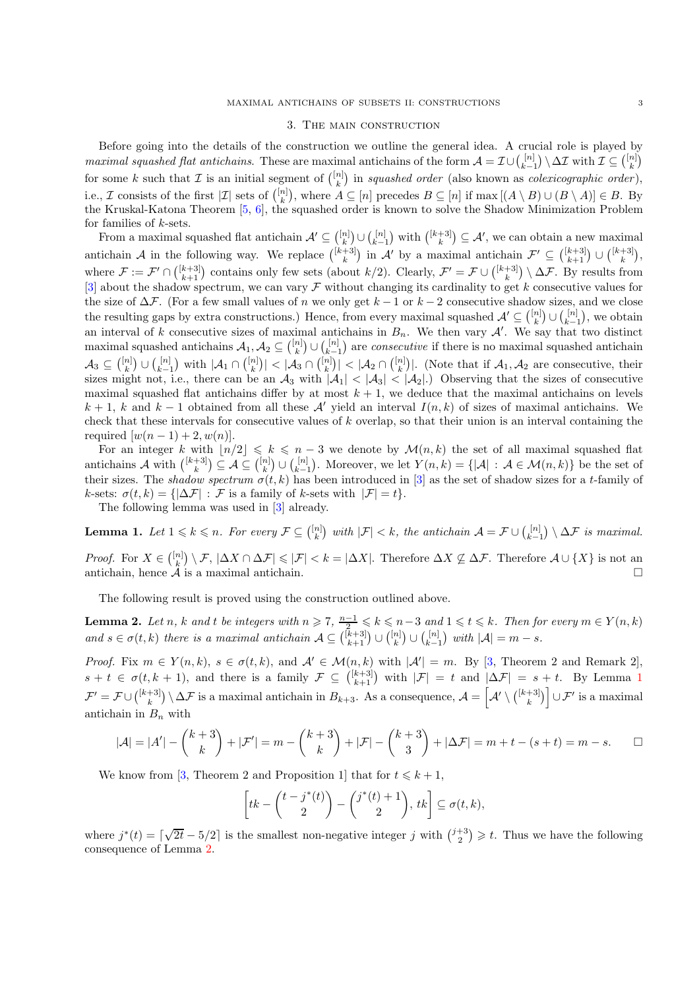## 3. The main construction

<span id="page-2-0"></span>Before going into the details of the construction we outline the general idea. A crucial role is played by maximal squashed flat antichains. These are maximal antichains of the form  $\mathcal{A} = \mathcal{I} \cup \binom{[n]}{k-1} \setminus \Delta \mathcal{I}$  with  $\mathcal{I} \subseteq \binom{[n]}{k}$ for some k such that  $\mathcal I$  is an initial segment of  $\binom{[n]}{k}$  in squashed order (also known as colexicographic order), i.e., *I* consists of the first  $|\mathcal{I}|$  sets of  $\binom{[n]}{k}$ , where  $A \subseteq [n]$  precedes  $B \subseteq [n]$  if  $\max[(A \setminus B) \cup (B \setminus A)] \in B$ . By the Kruskal-Katona Theorem [\[5](#page-9-3), [6](#page-9-4)], the squashed order is known to solve the Shadow Minimization Problem for families of  $k$ -sets.

From a maximal squashed flat antichain  $\mathcal{A}' \subseteq \binom{[n]}{k} \cup \binom{[n]}{k-1}$  with  $\binom{[k+3]}{k} \subseteq \mathcal{A}'$ , we can obtain a new maximal antichain A in the following way. We replace  $\binom{[k+3]}{k}$  in A' by a maximal antichain  $\mathcal{F}' \subseteq \binom{[k+3]}{k+1} \cup \binom{[k+3]}{k}$ , where  $\mathcal{F} := \mathcal{F}' \cap \binom{[k+3]}{k+1}$  contains only few sets (about  $k/2$ ). Clearly,  $\mathcal{F}' = \mathcal{F} \cup \binom{[k+3]}{k} \setminus \Delta \mathcal{F}$ . By results from [\[3\]](#page-9-1) about the shadow spectrum, we can vary  $\mathcal F$  without changing its cardinality to get k consecutive values for the size of  $\Delta \mathcal{F}$ . (For a few small values of n we only get  $k-1$  or  $k-2$  consecutive shadow sizes, and we close the resulting gaps by extra constructions.) Hence, from every maximal squashed  $\mathcal{A}' \subseteq \binom{[n]}{k} \cup \binom{[n]}{k-1}$ , we obtain an interval of k consecutive sizes of maximal antichains in  $B_n$ . We then vary A'. We say that two distinct maximal squashed antichains  $A_1, A_2 \subseteq \binom{[n]}{k} \cup \binom{[n]}{k-1}$  are *consecutive* if there is no maximal squashed antichain  $\mathcal{A}_3 \subseteq \binom{[n]}{k} \cup \binom{[n]}{k-1}$  with  $|\mathcal{A}_1 \cap \binom{[n]}{k}| < |\mathcal{A}_3 \cap \binom{[n]}{k}| < |\mathcal{A}_2 \cap \binom{[n]}{k}|$ . (Note that if  $\mathcal{A}_1, \mathcal{A}_2$  are consecutive, their sizes might not, i.e., there can be an  $\mathcal{A}_3$  with  $|\mathcal{A}_1| < |\mathcal{A}_3| < |\mathcal{A}_2|$ .) Observing that the sizes of consecutive maximal squashed flat antichains differ by at most  $k + 1$ , we deduce that the maximal antichains on levels  $k + 1$ , k and  $k - 1$  obtained from all these A' yield an interval  $I(n, k)$  of sizes of maximal antichains. We check that these intervals for consecutive values of k overlap, so that their union is an interval containing the required  $[w(n-1)+2, w(n)].$ 

For an integer k with  $\lfloor n/2 \rfloor \leq k \leq n-3$  we denote by  $\mathcal{M}(n,k)$  the set of all maximal squashed flat antichains  $\mathcal A$  with  $\binom{[k+3]}{k} \subseteq \mathcal A \subseteq \binom{[n]}{k} \cup \binom{[n]}{k-1}$ . Moreover, we let  $Y(n,k) = \{|\mathcal A| : \mathcal A \in \mathcal M(n,k)\}$  be the set of their sizes. The shadow spectrum  $\sigma(t, k)$  has been introduced in [\[3\]](#page-9-1) as the set of shadow sizes for a t-family of k-sets:  $\sigma(t, k) = \{|\Delta \mathcal{F}| : \mathcal{F}$  is a family of k-sets with  $|\mathcal{F}| = t\}.$ 

<span id="page-2-1"></span>The following lemma was used in [\[3\]](#page-9-1) already.

**Lemma 1.** Let  $1 \leq k \leq n$ . For every  $\mathcal{F} \subseteq \binom{[n]}{k}$  with  $|\mathcal{F}| < k$ , the antichain  $\mathcal{A} = \mathcal{F} \cup \binom{[n]}{k-1} \setminus \Delta \mathcal{F}$  is maximal. Proof. For  $X \in \binom{[n]}{k} \setminus \mathcal{F}$ ,  $|\Delta X \cap \Delta \mathcal{F}| \leq |\mathcal{F}| < k = |\Delta X|$ . Therefore  $\Delta X \not\subseteq \Delta \mathcal{F}$ . Therefore  $\mathcal{A} \cup \{X\}$  is not an

antichain, hence  $A$  is a maximal antichain.

<span id="page-2-2"></span>The following result is proved using the construction outlined above.

**Lemma 2.** Let n, k and t be integers with  $n \geq 7$ ,  $\frac{n-1}{2} \leq k \leq n-3$  and  $1 \leq t \leq k$ . Then for every  $m \in Y(n,k)$ and  $s \in \sigma(t, k)$  there is a maximal antichain  $\mathcal{A} \subseteq \binom{[k+3]}{k+1} \cup \binom{[n]}{k} \cup \binom{[n]}{k-1}$  with  $|\mathcal{A}| = m - s$ .

Proof. Fix  $m \in Y(n,k)$ ,  $s \in \sigma(t,k)$ , and  $\mathcal{A}' \in \mathcal{M}(n,k)$  with  $|\mathcal{A}'| = m$ . By [\[3,](#page-9-1) Theorem 2 and Remark 2],  $s+t \in \sigma(t,k+1)$  $s+t \in \sigma(t,k+1)$  $s+t \in \sigma(t,k+1)$ , and there is a family  $\mathcal{F} \subseteq \binom{[k+3]}{k+1}$  with  $|\mathcal{F}| = t$  and  $|\Delta \mathcal{F}| = s+t$ . By Lemma 1  $\mathcal{F}' = \mathcal{F} \cup \binom{[k+3]}{k} \setminus \Delta \mathcal{F}$  is a maximal antichain in  $B_{k+3}$ . As a consequence,  $\mathcal{A} = \left[ \mathcal{A}' \setminus \binom{[k+3]}{k} \right] \cup \mathcal{F}'$  is a maximal antichain in  $B_n$  with

$$
|\mathcal{A}| = |A'| - {k+3 \choose k} + |\mathcal{F}'| = m - {k+3 \choose k} + |\mathcal{F}| - {k+3 \choose 3} + |\Delta \mathcal{F}| = m + t - (s + t) = m - s.
$$

We know from [\[3,](#page-9-1) Theorem 2 and Proposition 1] that for  $t \leq k + 1$ ,

$$
\[tk - \binom{t - j^*(t)}{2} - \binom{j^*(t) + 1}{2}, tk\] \subseteq \sigma(t, k),\]
$$

<span id="page-2-3"></span>where  $j^*(t) = \left[\sqrt{2t} - 5/2\right]$  is the smallest non-negative integer j with  $\binom{j+3}{2} \geq t$ . Thus we have the following consequence of Lemma [2.](#page-2-2)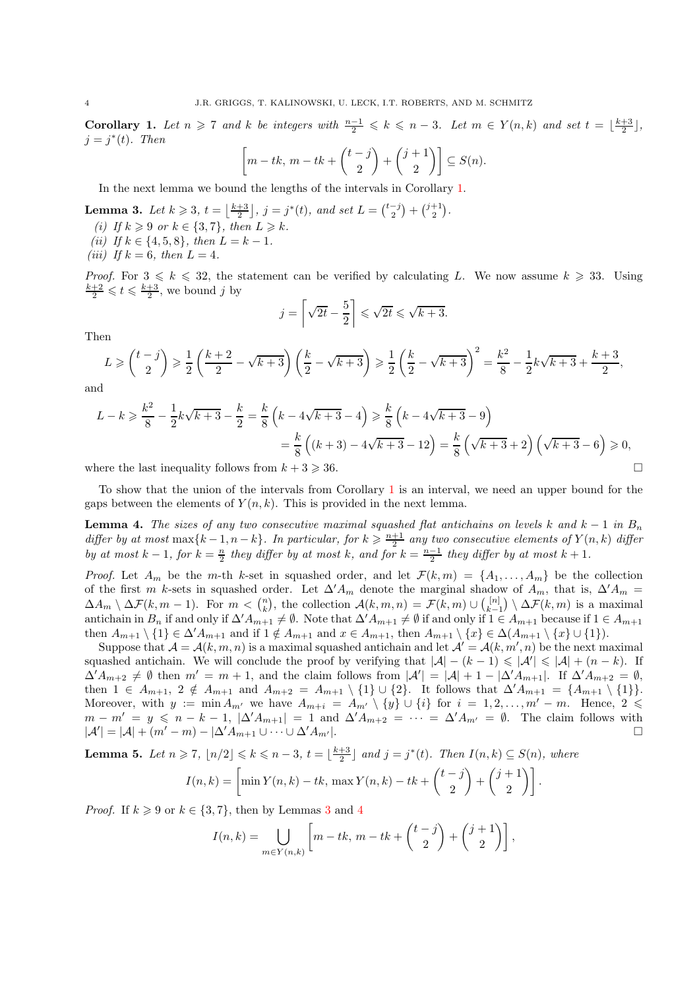**Corollary 1.** Let  $n \geq 7$  and k be integers with  $\frac{n-1}{2} \leq k \leq n-3$ . Let  $m \in Y(n,k)$  and set  $t = \lfloor \frac{k+3}{2} \rfloor$ ,  $j = j^*(t)$ . Then

$$
\left[m - tk, m - tk + {t - j \choose 2} + {j + 1 \choose 2}\right] \subseteq S(n).
$$

<span id="page-3-0"></span>In the next lemma we bound the lengths of the intervals in Corollary [1.](#page-2-3)

- **Lemma 3.** Let  $k \ge 3$ ,  $t = \left\lfloor \frac{k+3}{2} \right\rfloor$ ,  $j = j^*(t)$ , and set  $L = \binom{t-j}{2} + \binom{j+1}{2}$ .
- (i) If  $k \geq 9$  or  $k \in \{3, 7\}$ , then  $L \geq k$ .
- (ii) If  $k \in \{4, 5, 8\}$ , then  $L = k 1$ .
- (iii) If  $k = 6$ , then  $L = 4$ .

*Proof.* For  $3 \leq k \leq 32$ , the statement can be verified by calculating L. We now assume  $k \geq 33$ . Using  $\frac{k+2}{2} \leqslant t \leqslant \frac{k+3}{2}$ , we bound j by

$$
j = \left\lceil \sqrt{2t} - \frac{5}{2} \right\rceil \le \sqrt{2t} \le \sqrt{k+3}.
$$

Then

$$
L \ge \binom{t-j}{2} \ge \frac{1}{2} \left( \frac{k+2}{2} - \sqrt{k+3} \right) \left( \frac{k}{2} - \sqrt{k+3} \right) \ge \frac{1}{2} \left( \frac{k}{2} - \sqrt{k+3} \right)^2 = \frac{k^2}{8} - \frac{1}{2} k \sqrt{k+3} + \frac{k+3}{2},
$$

and

$$
L - k \ge \frac{k^2}{8} - \frac{1}{2}k\sqrt{k+3} - \frac{k}{2} = \frac{k}{8}\left(k - 4\sqrt{k+3} - 4\right) \ge \frac{k}{8}\left(k - 4\sqrt{k+3} - 9\right)
$$

$$
= \frac{k}{8}\left((k+3) - 4\sqrt{k+3} - 12\right) = \frac{k}{8}\left(\sqrt{k+3} + 2\right)\left(\sqrt{k+3} - 6\right) \ge 0,
$$

where the last inequality follows from  $k + 3 \ge 36$ .

<span id="page-3-1"></span>To show that the union of the intervals from Corollary [1](#page-2-3) is an interval, we need an upper bound for the gaps between the elements of  $Y(n, k)$ . This is provided in the next lemma.

**Lemma 4.** The sizes of any two consecutive maximal squashed flat antichains on levels k and  $k - 1$  in  $B_n$ differ by at most  $\max\{k-1, n-k\}$ . In particular, for  $k \geq \frac{n+1}{2}$  any two consecutive elements of  $Y(n, k)$  differ by at most  $k-1$ , for  $k=\frac{n}{2}$  they differ by at most k, and for  $k=\frac{n-1}{2}$  they differ by at most  $k+1$ .

*Proof.* Let  $A_m$  be the m-th k-set in squashed order, and let  $\mathcal{F}(k,m) = \{A_1, \ldots, A_m\}$  be the collection of the first m k-sets in squashed order. Let  $\Delta' A_m$  denote the marginal shadow of  $A_m$ , that is,  $\Delta' A_m$  =  $\Delta A_m \setminus \Delta \mathcal{F}(k,m-1)$ . For  $m < {n \choose k}$ , the collection  $\mathcal{A}(k,m,n) = \mathcal{F}(k,m) \cup {n \choose k-1} \setminus \Delta \mathcal{F}(k,m)$  is a maximal antichain in  $B_n$  if and only if  $\Delta' A_{m+1} \neq \emptyset$ . Note that  $\Delta' A_{m+1} \neq \emptyset$  if and only if  $1 \in A_{m+1}$  because if  $1 \in A_{m+1}$ then  $A_{m+1} \setminus \{1\} \in \Delta' A_{m+1}$  and if  $1 \notin A_{m+1}$  and  $x \in A_{m+1}$ , then  $A_{m+1} \setminus \{x\} \in \Delta(A_{m+1} \setminus \{x\} \cup \{1\}).$ 

Suppose that  $\mathcal{A} = \mathcal{A}(k, m, n)$  is a maximal squashed antichain and let  $\mathcal{A}' = \mathcal{A}(k, m', n)$  be the next maximal squashed antichain. We will conclude the proof by verifying that  $|\mathcal{A}| - (k - 1) \leq |\mathcal{A}'| \leq |\mathcal{A}| + (n - k)$ . If  $\Delta' A_{m+2} \neq \emptyset$  then  $m' = m + 1$ , and the claim follows from  $|\mathcal{A}'| = |\mathcal{A}| + 1 - |\Delta' A_{m+1}|$ . If  $\Delta' A_{m+2} = \emptyset$ , then  $1 \in A_{m+1}$ ,  $2 \notin A_{m+1}$  and  $A_{m+2} = A_{m+1} \setminus \{1\} \cup \{2\}$ . It follows that  $\Delta' A_{m+1} = \{A_{m+1} \setminus \{1\}\}.$ Moreover, with  $y := \min A_{m'}$  we have  $A_{m+i} = A_{m'} \setminus \{y\} \cup \{i\}$  for  $i = 1, 2, ..., m' - m$ . Hence,  $2 \leq$  $m - m' = y \leqslant n - k - 1$ ,  $|\Delta' A_{m+1}| = 1$  and  $\Delta' A_{m+2} = \cdots = \Delta' A_{m'} = \emptyset$ . The claim follows with  $|\mathcal{A}'| = |\mathcal{A}| + (m'-m) - |\Delta' A_{m+1} \cup \cdots \cup \Delta' A_{m'}|.$ 

<span id="page-3-2"></span>**Lemma 5.** Let  $n \ge 7$ ,  $\lfloor n/2 \rfloor \le k \le n-3$ ,  $t = \lfloor \frac{k+3}{2} \rfloor$  and  $j = j^*(t)$ . Then  $I(n, k) \subseteq S(n)$ , where

$$
I(n,k) = \left[\min Y(n,k) - tk, \max Y(n,k) - tk + \binom{t-j}{2} + \binom{j+1}{2}\right].
$$

*Proof.* If  $k \geq 9$  or  $k \in \{3, 7\}$  $k \in \{3, 7\}$  $k \in \{3, 7\}$ , then by Lemmas 3 and [4](#page-3-1)

$$
I(n,k) = \bigcup_{m \in Y(n,k)} \left[ m - tk, m - tk + \binom{t-j}{2} + \binom{j+1}{2} \right],
$$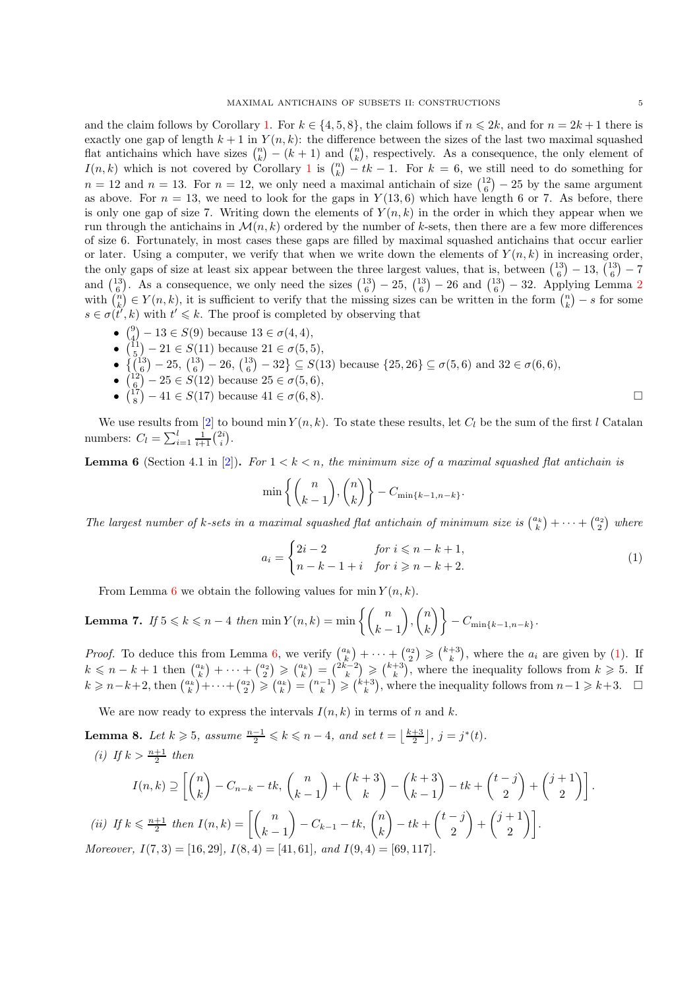and the claim follows by Corollary [1.](#page-2-3) For  $k \in \{4, 5, 8\}$ , the claim follows if  $n \leq 2k$ , and for  $n = 2k + 1$  there is exactly one gap of length  $k + 1$  in  $Y(n, k)$ : the difference between the sizes of the last two maximal squashed flat antichains which have sizes  $\binom{n}{k} - (k+1)$  and  $\binom{n}{k}$ , respectively. As a consequence, the only element of  $I(n, k)$  which is not covered by Corollary [1](#page-2-3) is  $\binom{n}{k} - tk - 1$ . For  $k = 6$ , we still need to do something for  $n = 12$  and  $n = 13$ . For  $n = 12$ , we only need a maximal antichain of size  $\binom{12}{6} - 25$  by the same argument as above. For  $n = 13$ , we need to look for the gaps in  $Y(13,6)$  which have length 6 or 7. As before, there is only one gap of size 7. Writing down the elements of  $Y(n, k)$  in the order in which they appear when we run through the antichains in  $\mathcal{M}(n, k)$  ordered by the number of k-sets, then there are a few more differences of size 6. Fortunately, in most cases these gaps are filled by maximal squashed antichains that occur earlier or later. Using a computer, we verify that when we write down the elements of  $Y(n, k)$  in increasing order, the only gaps of size at least six appear between the three largest values, that is, between  $\binom{13}{6} - 13$ ,  $\binom{13}{6} - 7$ and  $\binom{13}{6}$ . As a consequence, we only need the sizes  $\binom{13}{6} - 25$  $\binom{13}{6} - 25$  $\binom{13}{6} - 25$ ,  $\binom{13}{6} - 26$  and  $\binom{13}{6} - 32$ . Applying Lemma 2 with  $\binom{n}{k} \in Y(n,k)$ , it is sufficient to verify that the missing sizes can be written in the form  $\binom{n}{k} - s$  for some  $s \in \sigma(\tilde{t}', k)$  with  $t' \leq k$ . The proof is completed by observing that

- $\binom{9}{4} 13 \in S(9)$  because  $13 \in \sigma(4, 4)$ ,
- $\binom{11}{5} 21 \in S(11)$  because  $21 \in \sigma(5, 5)$ ,
- $\{({}^{13}_{6})-25,({}^{13}_{6})-26,({}^{13}_{6})-32\}\subseteq S(13)$  because  $\{25,26\}\subseteq \sigma(5,6)$  and  $32 \in \sigma(6,6)$ ,
- $\left(\frac{12}{6}\right) 25 \in S(12)$  because  $25 \in \sigma(5,6)$ ,
- $\binom{17}{8} 41 \in S(17)$  because  $41 \in \sigma(6, 8)$ .

We use results from [\[2\]](#page-9-5) to bound min  $Y(n, k)$ . To state these results, let  $C_l$  be the sum of the first l Catalan numbers:  $C_l = \sum_{i=1}^{l} \frac{1}{i+1} {2i \choose i}$ .

<span id="page-4-0"></span>**Lemma 6** (Section 4.1 in [\[2](#page-9-5)]). For  $1 < k < n$ , the minimum size of a maximal squashed flat antichain is

$$
\min\left\{\binom{n}{k-1},\binom{n}{k}\right\} - C_{\min\{k-1,n-k\}}.
$$

The largest number of k-sets in a maximal squashed flat antichain of minimum size is  $\binom{a_k}{k} + \cdots + \binom{a_2}{2}$  where

<span id="page-4-1"></span>
$$
a_i = \begin{cases} 2i - 2 & \text{for } i \leq n - k + 1, \\ n - k - 1 + i & \text{for } i \geq n - k + 2. \end{cases}
$$
 (1)

<span id="page-4-2"></span>From Lemma [6](#page-4-0) we obtain the following values for min  $Y(n, k)$ .

**Lemma 7.** If  $5 \leq k \leq n-4$  then  $\min Y(n, k) = \min \left\{ \binom{n}{k-1} \right\}$  $\bigg)$ ,  $\bigg( \begin{matrix} n \\ i \end{matrix} \bigg)$  $\begin{pmatrix} n \ k \end{pmatrix} \bigg\} - C_{\min\{k-1,n-k\}}.$ 

*Proof.* To deduce this from Lemma [6,](#page-4-0) we verify  $\binom{a_k}{k} + \cdots + \binom{a_2}{2} \geq \binom{k+3}{k}$ , where the  $a_i$  are given by [\(1\)](#page-4-1). If  $k \leq n-k+1$  then  $\binom{a_k}{k} + \cdots + \binom{a_2}{2} \geq \binom{a_k}{k} = \binom{2k-2}{k} \geq \binom{k+3}{k}$ , where the inequality follows from  $k \geq 5$ . If  $k \geq n-k+2$ , then  $\binom{a_k}{k} + \cdots + \binom{a_2}{2} \geq \binom{a_k}{k} = \binom{n-1}{k} \geq \binom{k+3}{k}$ , where the inequality follows from  $n-1 \geq k+3$ .  $\Box$ 

<span id="page-4-3"></span>We are now ready to express the intervals  $I(n, k)$  in terms of n and k.

**Lemma 8.** Let  $k \ge 5$ , assume  $\frac{n-1}{2} \le k \le n-4$ , and set  $t = \lfloor \frac{k+3}{2} \rfloor$ ,  $j = j^*(t)$ . (i) If  $k > \frac{n+1}{2}$  then

$$
I(n,k) \supseteq \left[ \binom{n}{k} - C_{n-k} - tk, \binom{n}{k-1} + \binom{k+3}{k} - \binom{k+3}{k-1} - tk + \binom{t-j}{2} + \binom{j+1}{2} \right].
$$
  
(ii) If  $k \le \frac{n+1}{2}$  then  $I(n,k) = \left[ \binom{n}{k-1} - C_{k-1} - tk, \binom{n}{k} - tk + \binom{t-j}{2} + \binom{j+1}{2} \right].$   
Moreover,  $I(7,3) = [16,29], I(8,4) = [41,61], and I(9,4) = [69,117].$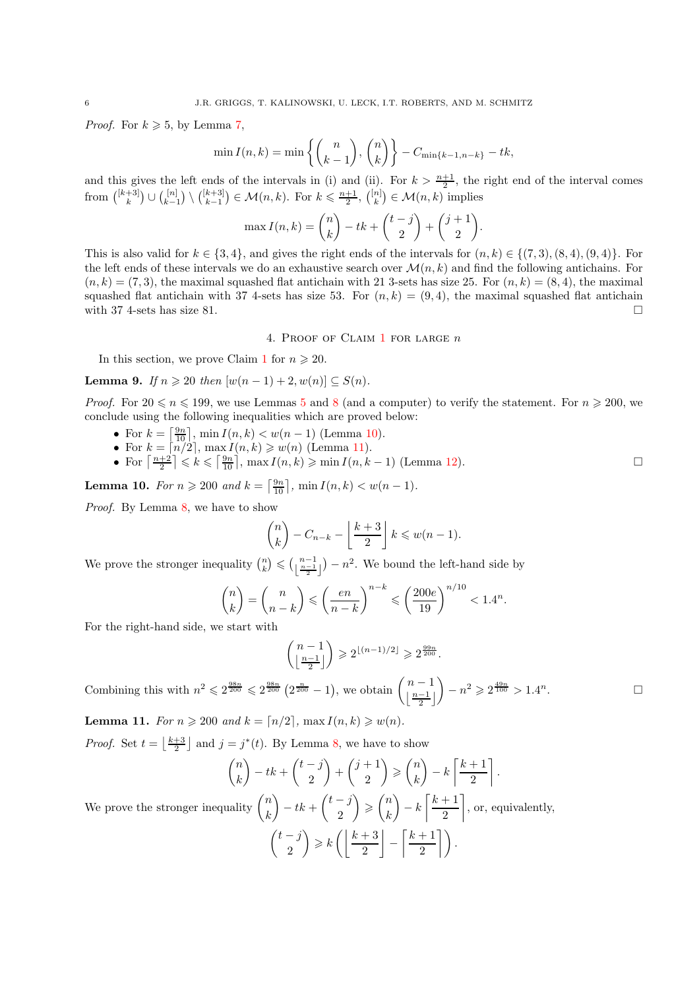*Proof.* For  $k \ge 5$ , by Lemma [7,](#page-4-2)

$$
\min I(n,k) = \min \left\{ {n \choose k-1}, {n \choose k} \right\} - C_{\min\{k-1, n-k\}} - tk,
$$

and this gives the left ends of the intervals in (i) and (ii). For  $k > \frac{n+1}{2}$ , the right end of the interval comes from  $\binom{[k+3]}{k} \cup \binom{[n]}{k-1} \setminus \binom{[k+3]}{k-1} \in \mathcal{M}(n,k)$ . For  $k \leq \frac{n+1}{2}$ ,  $\binom{[n]}{k} \in \mathcal{M}(n,k)$  implies

$$
\max I(n,k) = \binom{n}{k} - tk + \binom{t-j}{2} + \binom{j+1}{2}.
$$

This is also valid for  $k \in \{3,4\}$ , and gives the right ends of the intervals for  $(n, k) \in \{(7, 3), (8, 4), (9, 4)\}$ . For the left ends of these intervals we do an exhaustive search over  $\mathcal{M}(n,k)$  and find the following antichains. For  $(n, k) = (7, 3)$ , the maximal squashed flat antichain with 21 3-sets has size 25. For  $(n, k) = (8, 4)$ , the maximal squashed flat antichain with 37 4-sets has size 53. For  $(n, k) = (9, 4)$ , the maximal squashed flat antichain with 37 4-sets has size 81.

#### 4. PROOF OF CLAIM  $1$  for large  $n$

<span id="page-5-0"></span>In this section, we prove Claim [1](#page-1-1) for  $n \geq 20$ .

**Lemma 9.** If  $n \ge 20$  then  $[w(n-1) + 2, w(n)] \subseteq S(n)$ .

*Proof.* For  $20 \le n \le 199$ , we use Lemmas [5](#page-3-2) and [8](#page-4-3) (and a computer) to verify the statement. For  $n \ge 200$ , we conclude using the following inequalities which are proved below:

- For  $k = \left[\frac{9n}{10}\right]$ , min  $I(n, k) < w(n 1)$  (Lemma [10\)](#page-5-1).
- For  $k = \lfloor n/2 \rfloor$ ,  $\max I(n, k) \geq w(n)$  (Lemma [11\)](#page-5-2).
- For  $\left\lceil \frac{n+2}{2} \right\rceil \leq k \leq \left\lceil \frac{9n}{10} \right\rceil$ ,  $\max I(n, k) \geq \min I(n, k-1)$  (Lemma [12\)](#page-6-1).

<span id="page-5-1"></span>**Lemma 10.** For  $n \ge 200$  and  $k = \left[\frac{9n}{10}\right]$ ,  $\min I(n, k) < w(n - 1)$ .

Proof. By Lemma [8,](#page-4-3) we have to show

$$
\binom{n}{k} - C_{n-k} - \left\lfloor \frac{k+3}{2} \right\rfloor k \leq w(n-1).
$$

We prove the stronger inequality  $\binom{n}{k} \leqslant \left(\frac{n-1}{\frac{n-1}{2}}\right)$  $\left\lfloor \frac{n-1}{2} \right\rfloor$  $- n<sup>2</sup>$ . We bound the left-hand side by

$$
\binom{n}{k} = \binom{n}{n-k} \leqslant \left(\frac{en}{n-k}\right)^{n-k} \leqslant \left(\frac{200e}{19}\right)^{n/10} < 1.4^n.
$$

For the right-hand side, we start with

$$
\binom{n-1}{\left\lfloor\frac{n-1}{2}\right\rfloor}\geqslant 2^{\lfloor(n-1)/2\rfloor}\geqslant 2^{\frac{99n}{200}}.
$$

.

Combining this with  $n^2 \leq 2^{\frac{98n}{200}} \leq 2^{\frac{98n}{200}} (2^{\frac{n}{200}} - 1)$ , we obtain  $\binom{n-1}{\lfloor \frac{n-1}{200} \rfloor}$  $\lfloor \frac{n-1}{2} \rfloor$  $n^2 \geqslant 2^{\frac{49n}{100}} > 1.4^n$ 

<span id="page-5-2"></span>Lemma 11. For  $n \geq 200$  and  $k = \lceil n/2 \rceil$ , max  $I(n, k) \geq w(n)$ .

*Proof.* Set  $t = \lfloor \frac{k+3}{2} \rfloor$  and  $j = j^*(t)$ . By Lemma [8,](#page-4-3) we have to show

$$
\binom{n}{k} - tk + \binom{t-j}{2} + \binom{j+1}{2} \ge \binom{n}{k} - k \left\lceil \frac{k+1}{2} \right\rceil.
$$
\n
$$
\binom{n}{k} \qquad \binom{t-j}{k} \qquad \binom{n}{k} \qquad \frac{k+1}{2}
$$

We prove the stronger inequality  $\binom{n}{k}$ k  $\bigg) - tk + \binom{t-j}{2}$ 2  $\Big\}\geqslant\Big\binom{n}{k}$ k  $\bigg) - k \left[ \frac{k+1}{2} \right]$ 2 , or, equivalently,

$$
\binom{t-j}{2} \geqslant k \left( \left\lfloor \frac{k+3}{2} \right\rfloor - \left\lceil \frac{k+1}{2} \right\rceil \right).
$$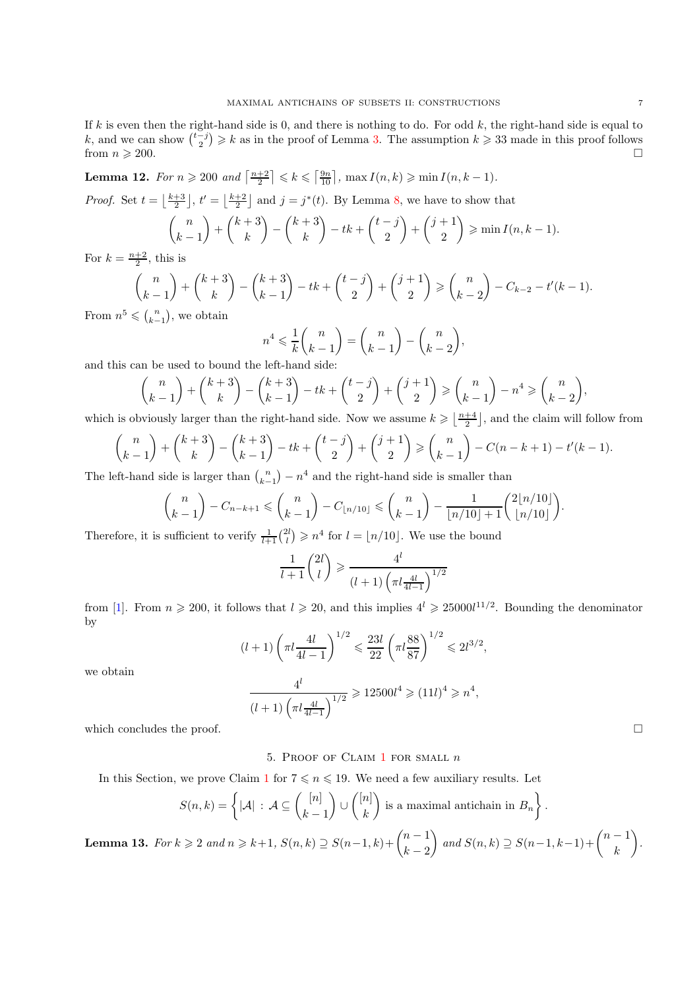If  $k$  is even then the right-hand side is 0, and there is nothing to do. For odd  $k$ , the right-hand side is equal to k, and we can show  $\binom{t-j}{2} \geq k$  as in the proof of Lemma [3.](#page-3-0) The assumption  $k \geq 33$  made in this proof follows from  $n \geqslant 200$ .

<span id="page-6-1"></span>**Lemma 12.** For  $n \ge 200$  and  $\left\lceil \frac{n+2}{2} \right\rceil \le k \le \left\lceil \frac{9n}{10} \right\rceil$ ,  $\max I(n, k) \ge \min I(n, k-1)$ .

*Proof.* Set  $t = \lfloor \frac{k+3}{2} \rfloor$ ,  $t' = \lfloor \frac{k+2}{2} \rfloor$  and  $j = j^*(t)$ . By Lemma [8,](#page-4-3) we have to show that

$$
\binom{n}{k-1} + \binom{k+3}{k} - \binom{k+3}{k} - tk + \binom{t-j}{2} + \binom{j+1}{2} \ge \min I(n, k-1).
$$
is is

For  $k = \frac{n+2}{2}$ , this is

$$
\binom{n}{k-1} + \binom{k+3}{k} - \binom{k+3}{k-1} - tk + \binom{t-j}{2} + \binom{j+1}{2} \ge \binom{n}{k-2} - C_{k-2} - t'(k-1).
$$
\n
$$
\le \binom{n}{k} \text{ we obtain}
$$

From  $n^5 \leqslant {n \choose k-1}$ , we obtain

$$
n^4 \leqslant \frac{1}{k} {n \choose k-1} = {n \choose k-1} - {n \choose k-2},
$$

and this can be used to bound the left-hand side:

$$
\binom{n}{k-1} + \binom{k+3}{k} - \binom{k+3}{k-1} - tk + \binom{t-j}{2} + \binom{j+1}{2} \ge \binom{n}{k-1} - n^4 \ge \binom{n}{k-2},
$$

which is obviously larger than the right-hand side. Now we assume  $k \geqslant \lfloor \frac{n+4}{2} \rfloor$ , and the claim will follow from

$$
\binom{n}{k-1} + \binom{k+3}{k} - \binom{k+3}{k-1} - tk + \binom{t-j}{2} + \binom{j+1}{2} \ge \binom{n}{k-1} - C(n-k+1) - t'(k-1).
$$

The left-hand side is larger than  $\binom{n}{k-1} - n^4$  and the right-hand side is smaller than

$$
\binom{n}{k-1} - C_{n-k+1} \leqslant \binom{n}{k-1} - C_{\lfloor n/10 \rfloor} \leqslant \binom{n}{k-1} - \frac{1}{\lfloor n/10 \rfloor + 1} \binom{2\lfloor n/10 \rfloor}{\lfloor n/10 \rfloor}.
$$

Therefore, it is sufficient to verify  $\frac{1}{l+1} {2l \choose l} \geq n^4$  for  $l = \lfloor n/10 \rfloor$ . We use the bound

$$
\frac{1}{l+1}\binom{2l}{l} \geqslant \frac{4^l}{(l+1)\left(\pi l \frac{4l}{4l-1}\right)^{1/2}}
$$

from [\[1\]](#page-9-6). From  $n \ge 200$ , it follows that  $l \ge 20$ , and this implies  $4^l \ge 25000l^{11/2}$ . Bounding the denominator by

$$
(l+1)\left(\pi l \frac{4l}{4l-1}\right)^{1/2} \leqslant \frac{23l}{22} \left(\pi l \frac{88}{87}\right)^{1/2} \leqslant 2l^{3/2},
$$

we obtain

$$
\frac{4^l}{(l+1)\left(\pi l \frac{4l}{4l-1}\right)^{1/2}} \geqslant 12500l^4 \geqslant (11l)^4 \geqslant n^4,
$$

<span id="page-6-0"></span>which concludes the proof.  $\Box$ 

## 5. PROOF OF CLAIM  $1$  for small  $n$

In this Section, we prove Claim [1](#page-1-1) for  $7 \le n \le 19$ . We need a few auxiliary results. Let

$$
S(n,k) = \left\{ |\mathcal{A}| \, : \, \mathcal{A} \subseteq \binom{[n]}{k-1} \cup \binom{[n]}{k} \text{ is a maximal antichain in } B_n \right\}.
$$

<span id="page-6-2"></span>**Lemma 13.** For  $k \geqslant 2$  and  $n \geqslant k+1$ ,  $S(n, k) \supseteq S(n-1, k) + \binom{n-1}{k-2}$  $k-2$  $\bigcap$  and  $S(n,k) \supseteq S(n-1,k-1)+\binom{n-1}{k}$ k .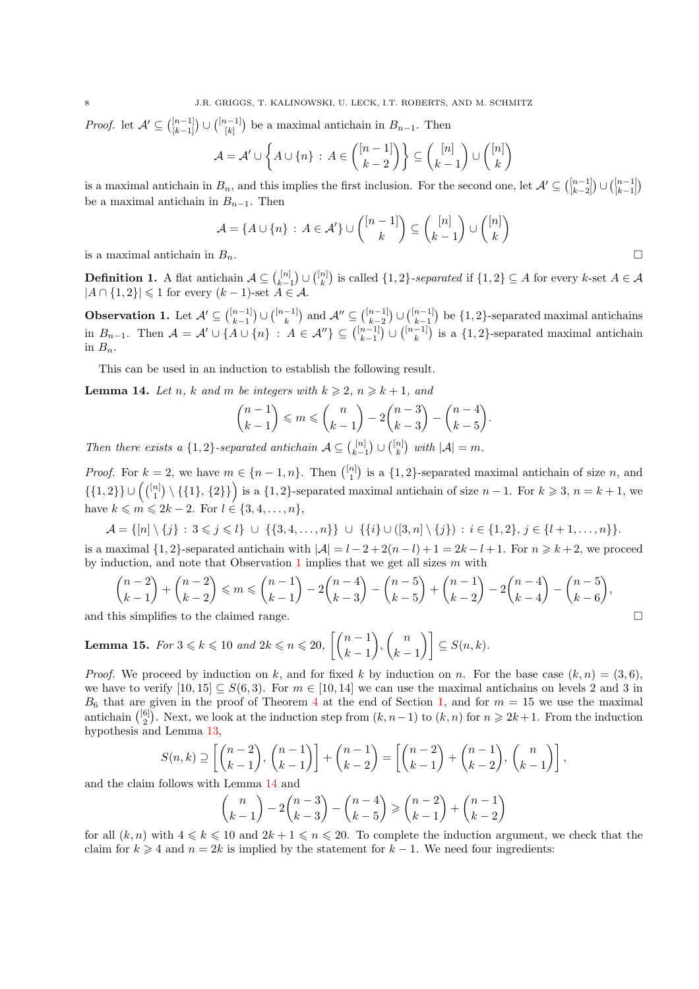*Proof.* let  $\mathcal{A}' \subseteq \binom{[n-1]}{[k-1]}$  $\binom{[n-1]}{[k-1]}$  ∪  $\binom{[n-1]}{[k]}$  $\binom{n-1}{[k]}$  be a maximal antichain in  $B_{n-1}$ . Then

$$
\mathcal{A} = \mathcal{A}' \cup \left\{ A \cup \{n\} \, : \, A \in \binom{[n-1]}{k-2} \right\} \subseteq \binom{[n]}{k-1} \cup \binom{[n]}{k}
$$

is a maximal antichain in  $B_n$ , and this implies the first inclusion. For the second one, let  $\mathcal{A}' \subseteq \binom{[n-1]}{[k-2]}$  $\binom{[n-1]}{[k-2]}$  ∪  $\binom{[n-1]}{[k-1]}$  $\binom{[n-1]}{[k-1]}$ be a maximal antichain in  $B_{n-1}$ . Then

$$
\mathcal{A} = \{ A \cup \{n\} \, : \, A \in \mathcal{A}' \} \cup \binom{[n-1]}{k} \subseteq \binom{[n]}{k} \cup \binom{[n]}{k}
$$
\nis a maximal antichain in  $B_n$ .

\n
$$
\Box
$$

**Definition 1.** A flat antichain  $A \subseteq \binom{[n]}{k} \cup \binom{[n]}{k}$  is called  $\{1,2\}$ -separated if  $\{1,2\} \subseteq A$  for every k-set  $A \in \mathcal{A}$  $|A \cap \{1,2\}| \leq 1$  for every  $(k-1)$ -set  $A \in \mathcal{A}$ .

<span id="page-7-0"></span>**Observation 1.** Let  $\mathcal{A}' \subseteq \binom{[n-1]}{k-1} \cup \binom{[n-1]}{k}$  and  $\mathcal{A}'' \subseteq \binom{[n-1]}{k-2} \cup \binom{[n-1]}{k-1}$  be  $\{1,2\}$ -separated maximal antichains in  $B_{n-1}$ . Then  $\mathcal{A} = \mathcal{A}' \cup \{A \cup \{n\} : A \in \mathcal{A}''\} \subseteq \binom{[n-1]}{k-1} \cup \binom{[n-1]}{k}$  is a  $\{1,2\}$ -separated maximal antichain in  $B_n$ .

<span id="page-7-1"></span>This can be used in an induction to establish the following result.

**Lemma 14.** Let n, k and m be integers with  $k \ge 2$ ,  $n \ge k+1$ , and

$$
\binom{n-1}{k-1} \leqslant m \leqslant \binom{n}{k-1} - 2\binom{n-3}{k-3} - \binom{n-4}{k-5}.
$$

Then there exists a  $\{1,2\}$ -separated antichain  $\mathcal{A} \subseteq \binom{[n]}{k-1} \cup \binom{[n]}{k}$  with  $|\mathcal{A}| = m$ .

*Proof.* For  $k = 2$ , we have  $m \in \{n-1, n\}$ . Then  $\binom{[n]}{1}$  is a  $\{1, 2\}$ -separated maximal antichain of size n, and  $\{\{1,2\}\}\cup\left(\binom{[n]}{1}, \{\{1\},\{2\}\}\right)$  is a  $\{1,2\}$ -separated maximal antichain of size  $n-1$ . For  $k\geqslant 3$ ,  $n=k+1$ , we have  $k \leq m \leq 2k - 2$ . For  $l \in \{3, 4, ..., n\}$ ,

$$
\mathcal{A} = \{ [n] \setminus \{j\} \, : \, 3 \leq j \leq l \} \; \cup \; \{ \{3, 4, \ldots, n\} \} \; \cup \; \{ \{i\} \cup ([3, n] \setminus \{j\}) \, : \, i \in \{1, 2\}, j \in \{l+1, \ldots, n\} \}.
$$

is a maximal  $\{1, 2\}$ -separated antichain with  $|\mathcal{A}| = l - 2 + 2(n - l) + 1 = 2k - l + 1$ . For  $n \geq k + 2$ , we proceed by induction, and note that Observation  $1$  implies that we get all sizes m with

$$
\binom{n-2}{k-1} + \binom{n-2}{k-2} \leqslant m \leqslant \binom{n-1}{k-1} - 2\binom{n-4}{k-3} - \binom{n-5}{k-5} + \binom{n-1}{k-2} - 2\binom{n-4}{k-4} - \binom{n-5}{k-6},
$$
\nis simplifies to the claimed range.

<span id="page-7-2"></span>and this simplifies to the claimed range.

**Lemma 15.** For 
$$
3 \le k \le 10
$$
 and  $2k \le n \le 20$ ,  $\left[\binom{n-1}{k-1}, \binom{n}{k-1}\right] \subseteq S(n,k)$ .

*Proof.* We proceed by induction on k, and for fixed k by induction on n. For the base case  $(k, n) = (3, 6)$ , we have to verify  $[10, 15] \subseteq S(6, 3)$ . For  $m \in [10, 14]$  we can use the maximal antichains on levels 2 and 3 in  $B_6$  that are given in the proof of Theorem [4](#page-1-0) at the end of Section [1,](#page-0-2) and for  $m = 15$  we use the maximal antichain  $\binom{[6]}{2}$ . Next, we look at the induction step from  $(k, n-1)$  to  $(k, n)$  for  $n \geq 2k+1$ . From the induction hypothesis and Lemma [13,](#page-6-2)

$$
S(n,k) \supseteq \left[ \binom{n-2}{k-1}, \binom{n-1}{k-1} \right] + \binom{n-1}{k-2} = \left[ \binom{n-2}{k-1} + \binom{n-1}{k-2}, \binom{n}{k-1} \right],
$$

and the claim follows with Lemma [14](#page-7-1) and

$$
\binom{n}{k-1} - 2\binom{n-3}{k-3} - \binom{n-4}{k-5} \ge \binom{n-2}{k-1} + \binom{n-1}{k-2}
$$

for all  $(k, n)$  with  $4 \leq k \leq 10$  and  $2k + 1 \leq n \leq 20$ . To complete the induction argument, we check that the claim for  $k \geq 4$  and  $n = 2k$  is implied by the statement for  $k - 1$ . We need four ingredients: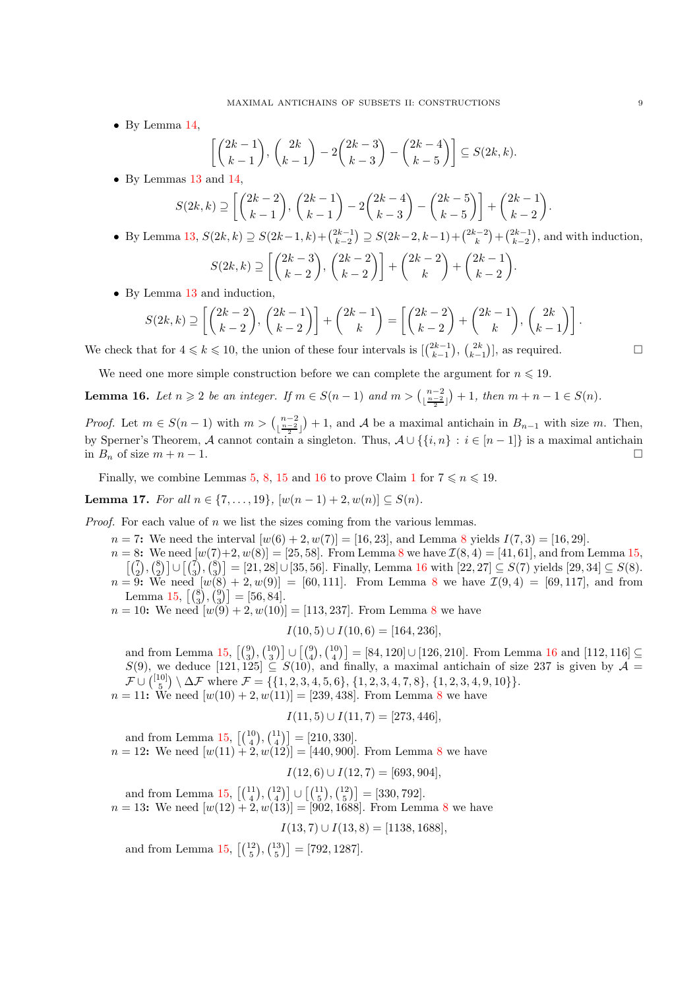• By Lemma [14,](#page-7-1)

$$
\left[\binom{2k-1}{k-1},\binom{2k}{k-1}-2\binom{2k-3}{k-3}-\binom{2k-4}{k-5}\right]\subseteq S(2k,k).
$$

• By Lemmas [13](#page-6-2) and [14,](#page-7-1)

$$
S(2k,k)\supseteq \left[\binom{2k-2}{k-1},\binom{2k-1}{k-1}-2\binom{2k-4}{k-3}-\binom{2k-5}{k-5}\right]+\binom{2k-1}{k-2}.
$$

• By Lemma [13,](#page-6-2)  $S(2k, k) \supseteq S(2k-1, k) + {2k-1 \choose k-2} \supseteq S(2k-2, k-1) + {2k-2 \choose k} + {2k-1 \choose k-2}$ , and with induction,

$$
S(2k,k) \supseteq \left[ \binom{2k-3}{k-2}, \binom{2k-2}{k-2} \right] + \binom{2k-2}{k} + \binom{2k-1}{k-2}.
$$

• By Lemma [13](#page-6-2) and induction,

$$
S(2k,k) \supseteq \left[ \binom{2k-2}{k-2}, \binom{2k-1}{k-2} \right] + \binom{2k-1}{k} = \left[ \binom{2k-2}{k-2} + \binom{2k-1}{k}, \binom{2k}{k-1} \right].
$$

We check that for  $4 \leq k \leq 10$ , the union of these four intervals is  $\left[\binom{2k-1}{k-1}, \binom{2k}{k-1}\right]$ , as required.

<span id="page-8-0"></span>We need one more simple construction before we can complete the argument for  $n \leq 19$ .

**Lemma 16.** Let  $n \geq 2$  be an integer. If  $m \in S(n-1)$  and  $m > \binom{n-2}{\lfloor \frac{n-2}{2} \rfloor} + 1$ , then  $m + n - 1 \in S(n)$ .

*Proof.* Let  $m \in S(n-1)$  with  $m > {\binom{n-2}{\lfloor \frac{n-2}{2} \rfloor}} + 1$ , and A be a maximal antichain in  $B_{n-1}$  with size m. Then, by Sperner's Theorem, A cannot contain a singleton. Thus,  $A \cup \{\{i, n\} : i \in [n-1]\}$  is a maximal antichain in  $B_n$  of size  $m + n - 1$ . in  $B_n$  of size  $m + n - 1$ .

Finally, we combine Lemmas [5,](#page-3-2) [8,](#page-4-3) [15](#page-7-2) and [16](#page-8-0) to prove Claim [1](#page-1-1) for  $7 \le n \le 19$ .

**Lemma 17.** For all  $n \in \{7, ..., 19\}$ ,  $[w(n-1) + 2, w(n)] \subset S(n)$ .

*Proof.* For each value of  $n$  we list the sizes coming from the various lemmas.

 $n = 7$ : We need the interval  $[w(6) + 2, w(7)] = [16, 23]$ , and Lemma [8](#page-4-3) yields  $I(7, 3) = [16, 29]$ .

 $n = 8$  $n = 8$ : We need  $[w(7)+2, w(8)] = [25, 58]$ . From Lemma 8 we have  $\mathcal{I}(8, 4) = [41, 61]$ , and from Lemma [15,](#page-7-2)  $\left[\binom{7}{2},\binom{8}{2}\right] \cup \left[\binom{7}{3},\binom{8}{3}\right] = [21,28] \cup [35,56]$ . Finally, Lemma [16](#page-8-0) with  $[22,27] \subseteq S(7)$  yields  $[29,34] \subseteq S(8)$ .  $n = 9$ : We need  $[w(8) + 2, w(9)] = [60, 111]$  $[w(8) + 2, w(9)] = [60, 111]$  $[w(8) + 2, w(9)] = [60, 111]$ . From Lemma 8 we have  $\mathcal{I}(9, 4) = [69, 117]$ , and from Lemma [15,](#page-7-2)  $\left[\binom{8}{3}, \binom{9}{3}\right] = [56, 84].$ 

 $n = 10$ : We need  $[w(9) + 2, w(10)] = [113, 237]$ . From Lemma [8](#page-4-3) we have

$$
I(10,5) \cup I(10,6) = [164,236],
$$

and from Lemma [15,](#page-7-2)  $\begin{bmatrix} 9 \\ 3 \end{bmatrix}$ ,  $\begin{bmatrix} 10 \\ 3 \end{bmatrix}$   $\cup$   $\begin{bmatrix} 4 \\ 4 \end{bmatrix}$  = [84, 120]  $\cup$  [126, 210]. From Lemma [16](#page-8-0) and [112, 116]  $\subseteq$  $S(9)$ , we deduce  $[121, 125] \subseteq S(10)$ , and finally, a maximal antichain of size 237 is given by  $\mathcal{A} =$  $\mathcal{F} \cup {\binom{[10]}{5}} \setminus \Delta \mathcal{F}$  where  $\mathcal{F} = \{\{1, 2, 3, 4, 5, 6\}, \{1, 2, 3, 4, 7, 8\}, \{1, 2, 3, 4, 9, 10\}\}.$  $n = 11$ : We need  $[w(10) + 2, w(11)] = [239, 438]$  $[w(10) + 2, w(11)] = [239, 438]$  $[w(10) + 2, w(11)] = [239, 438]$ . From Lemma 8 we have

$$
I(11,5) \cup I(11,7) = [273, 446],
$$

and from Lemma [15,](#page-7-2)  $\left[\binom{10}{4}, \binom{11}{4}\right] = [210, 330].$  $n = 12$ : We need  $[w(11) + 2, w(12)] = [440, 900]$ . From Lemma [8](#page-4-3) we have

$$
I(12,6) \cup I(12,7) = [693,904],
$$

and from Lemma [15,](#page-7-2)  $\left[\binom{11}{4}, \binom{12}{4}\right] \cup \left[\binom{11}{5}, \binom{12}{5}\right] = [330, 792]$ .  $n = 13$ : We need  $[w(12) + 2, w(13)] = [902, 1688]$  $[w(12) + 2, w(13)] = [902, 1688]$  $[w(12) + 2, w(13)] = [902, 1688]$ . From Lemma 8 we have  $I(13, 7) \cup I(13, 8) = [1138, 1688],$ 

and from Lemma [15,](#page-7-2)  $\left[\binom{12}{5}, \binom{13}{5}\right] = [792, 1287]$ .